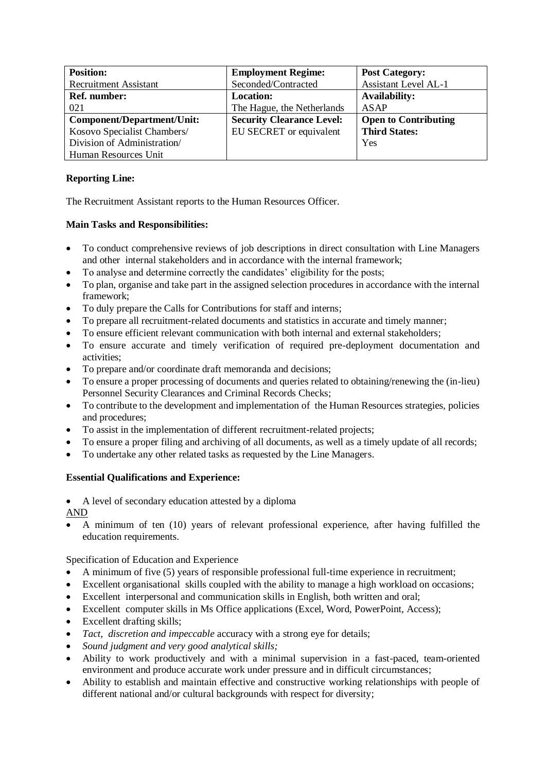| <b>Position:</b>             | <b>Employment Regime:</b>        | <b>Post Category:</b>       |
|------------------------------|----------------------------------|-----------------------------|
| <b>Recruitment Assistant</b> | Seconded/Contracted              | <b>Assistant Level AL-1</b> |
| <b>Ref.</b> number:          | <b>Location:</b>                 | <b>Availability:</b>        |
| 021                          | The Hague, the Netherlands       | ASAP                        |
| Component/Department/Unit:   | <b>Security Clearance Level:</b> | <b>Open to Contributing</b> |
| Kosovo Specialist Chambers/  | EU SECRET or equivalent          | <b>Third States:</b>        |
| Division of Administration/  |                                  | Yes                         |
| Human Resources Unit         |                                  |                             |

## **Reporting Line:**

The Recruitment Assistant reports to the Human Resources Officer.

## **Main Tasks and Responsibilities:**

- To conduct comprehensive reviews of job descriptions in direct consultation with Line Managers and other internal stakeholders and in accordance with the internal framework;
- To analyse and determine correctly the candidates' eligibility for the posts;
- To plan, organise and take part in the assigned selection procedures in accordance with the internal framework;
- To duly prepare the Calls for Contributions for staff and interns;
- To prepare all recruitment-related documents and statistics in accurate and timely manner;
- To ensure efficient relevant communication with both internal and external stakeholders;
- To ensure accurate and timely verification of required pre-deployment documentation and activities;
- To prepare and/or coordinate draft memoranda and decisions;
- To ensure a proper processing of documents and queries related to obtaining/renewing the (in-lieu) Personnel Security Clearances and Criminal Records Checks;
- To contribute to the development and implementation of the Human Resources strategies, policies and procedures;
- To assist in the implementation of different recruitment-related projects;
- To ensure a proper filing and archiving of all documents, as well as a timely update of all records;
- To undertake any other related tasks as requested by the Line Managers.

## **Essential Qualifications and Experience:**

• A level of secondary education attested by a diploma

AND

• A minimum of ten (10) years of relevant professional experience, after having fulfilled the education requirements.

Specification of Education and Experience

- A minimum of five (5) years of responsible professional full-time experience in recruitment;
- Excellent organisational skills coupled with the ability to manage a high workload on occasions;
- Excellent interpersonal and communication skills in English, both written and oral;
- Excellent computer skills in Ms Office applications (Excel, Word, PowerPoint, Access);
- Excellent drafting skills;
- *Tact, discretion and impeccable* accuracy with a strong eye for details;
- *Sound judgment and very good analytical skills;*
- Ability to work productively and with a minimal supervision in a fast-paced, team-oriented environment and produce accurate work under pressure and in difficult circumstances;
- Ability to establish and maintain effective and constructive working relationships with people of different national and/or cultural backgrounds with respect for diversity;